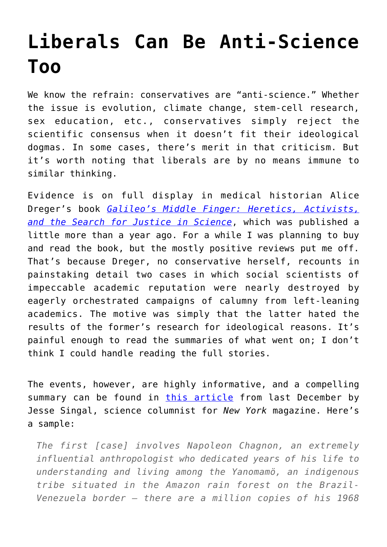## **[Liberals Can Be Anti-Science](https://intellectualtakeout.org/2016/05/liberals-can-be-anti-science-too/) [Too](https://intellectualtakeout.org/2016/05/liberals-can-be-anti-science-too/)**

We know the refrain: conservatives are "anti-science." Whether the issue is evolution, climate change, stem-cell research, sex education, etc., conservatives simply reject the scientific consensus when it doesn't fit their ideological dogmas. In some cases, there's merit in that criticism. But it's worth noting that liberals are by no means immune to similar thinking.

Evidence is on full display in medical historian Alice Dreger's book *[Galileo's Middle Finger: Heretics, Activists,](http://amzn.to/1SV7fUU) [and the Search for Justice in Science](http://amzn.to/1SV7fUU)*, which was published a little more than a year ago. For a while I was planning to buy and read the book, but the mostly positive reviews put me off. That's because Dreger, no conservative herself, recounts in painstaking detail two cases in which social scientists of impeccable academic reputation were nearly destroyed by eagerly orchestrated campaigns of calumny from left-leaning academics. The motive was simply that the latter hated the results of the former's research for ideological reasons. It's painful enough to read the summaries of what went on; I don't think I could handle reading the full stories.

The events, however, are highly informative, and a compelling summary can be found in [this article](http://nymag.com/scienceofus/2015/12/when-liberals-attack-social-science.html) from last December by Jesse Singal, science columnist for *New York* magazine. Here's a sample:

*The first [case] involves Napoleon Chagnon, an extremely influential anthropologist who dedicated years of his life to understanding and living among the Yanomamö, an indigenous tribe situated in the Amazon rain forest on the Brazil-Venezuela border — there are a million copies of his 1968*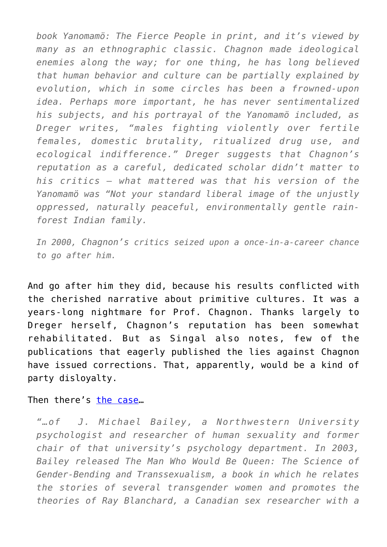*book Yanomamö: The Fierce People in print, and it's viewed by many as an ethnographic classic. Chagnon made ideological enemies along the way; for one thing, he has long believed that human behavior and culture can be partially explained by evolution, which in some circles has been a frowned-upon idea. Perhaps more important, he has never sentimentalized his subjects, and his portrayal of the Yanomamö included, as Dreger writes, "males fighting violently over fertile females, domestic brutality, ritualized drug use, and ecological indifference." Dreger suggests that Chagnon's reputation as a careful, dedicated scholar didn't matter to his critics — what mattered was that his version of the Yanomamö was "Not your standard liberal image of the unjustly oppressed, naturally peaceful, environmentally gentle rainforest Indian family.* 

*In 2000, Chagnon's critics seized upon a once-in-a-career chance to go after him.*

And go after him they did, because his results conflicted with the cherished narrative about primitive cultures. It was a years-long nightmare for Prof. Chagnon. Thanks largely to Dreger herself, Chagnon's reputation has been somewhat rehabilitated. But as Singal also notes, few of the publications that eagerly published the lies against Chagnon have issued corrections. That, apparently, would be a kind of party disloyalty.

Then there's [the case](http://nymag.com/scienceofus/2015/12/when-liberals-attack-social-science.html)…

*"…of J. Michael Bailey, a Northwestern University psychologist and researcher of human sexuality and former chair of that university's psychology department. In 2003, Bailey released The Man Who Would Be Queen: The Science of Gender-Bending and Transsexualism, a book in which he relates the stories of several transgender women and promotes the theories of Ray Blanchard, a Canadian sex researcher with a*